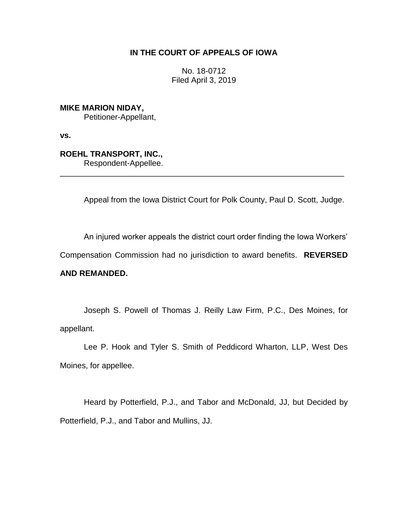# **IN THE COURT OF APPEALS OF IOWA**

No. 18-0712 Filed April 3, 2019

**MIKE MARION NIDAY,** Petitioner-Appellant,

**vs.**

**ROEHL TRANSPORT, INC.,** Respondent-Appellee.

Appeal from the Iowa District Court for Polk County, Paul D. Scott, Judge.

\_\_\_\_\_\_\_\_\_\_\_\_\_\_\_\_\_\_\_\_\_\_\_\_\_\_\_\_\_\_\_\_\_\_\_\_\_\_\_\_\_\_\_\_\_\_\_\_\_\_\_\_\_\_\_\_\_\_\_\_\_\_\_\_

An injured worker appeals the district court order finding the Iowa Workers'

Compensation Commission had no jurisdiction to award benefits. **REVERSED** 

# **AND REMANDED.**

Joseph S. Powell of Thomas J. Reilly Law Firm, P.C., Des Moines, for appellant.

Lee P. Hook and Tyler S. Smith of Peddicord Wharton, LLP, West Des Moines, for appellee.

Heard by Potterfield, P.J., and Tabor and McDonald, JJ, but Decided by Potterfield, P.J., and Tabor and Mullins, JJ.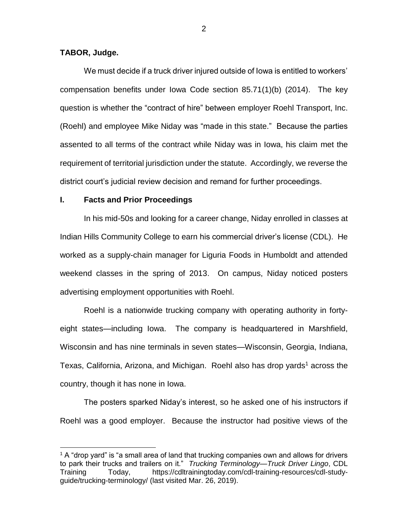### **TABOR, Judge.**

 $\overline{a}$ 

We must decide if a truck driver injured outside of Iowa is entitled to workers' compensation benefits under Iowa Code section 85.71(1)(b) (2014). The key question is whether the "contract of hire" between employer Roehl Transport, Inc. (Roehl) and employee Mike Niday was "made in this state." Because the parties assented to all terms of the contract while Niday was in Iowa, his claim met the requirement of territorial jurisdiction under the statute. Accordingly, we reverse the district court's judicial review decision and remand for further proceedings.

#### **I. Facts and Prior Proceedings**

In his mid-50s and looking for a career change, Niday enrolled in classes at Indian Hills Community College to earn his commercial driver's license (CDL). He worked as a supply-chain manager for Liguria Foods in Humboldt and attended weekend classes in the spring of 2013. On campus, Niday noticed posters advertising employment opportunities with Roehl.

Roehl is a nationwide trucking company with operating authority in fortyeight states—including Iowa. The company is headquartered in Marshfield, Wisconsin and has nine terminals in seven states—Wisconsin, Georgia, Indiana, Texas, California, Arizona, and Michigan. Roehl also has drop yards<sup>1</sup> across the country, though it has none in Iowa.

The posters sparked Niday's interest, so he asked one of his instructors if Roehl was a good employer. Because the instructor had positive views of the

 $1$  A "drop yard" is "a small area of land that trucking companies own and allows for drivers to park their trucks and trailers on it." *Trucking Terminology—Truck Driver Lingo*, CDL Training Today, https://cdltrainingtoday.com/cdl-training-resources/cdl-studyguide/trucking-terminology/ (last visited Mar. 26, 2019).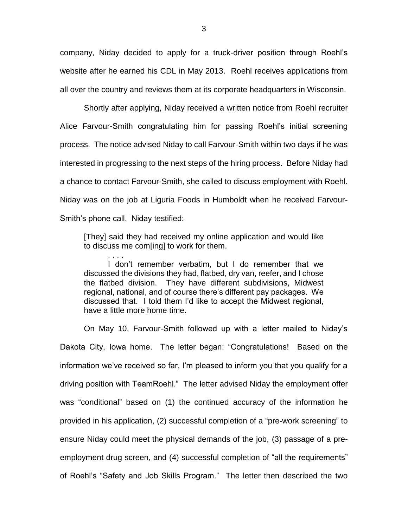company, Niday decided to apply for a truck-driver position through Roehl's website after he earned his CDL in May 2013. Roehl receives applications from all over the country and reviews them at its corporate headquarters in Wisconsin.

Shortly after applying, Niday received a written notice from Roehl recruiter Alice Farvour-Smith congratulating him for passing Roehl's initial screening process. The notice advised Niday to call Farvour-Smith within two days if he was interested in progressing to the next steps of the hiring process. Before Niday had a chance to contact Farvour-Smith, she called to discuss employment with Roehl. Niday was on the job at Liguria Foods in Humboldt when he received Farvour-Smith's phone call. Niday testified:

[They] said they had received my online application and would like to discuss me com[ing] to work for them.

. . . . I don't remember verbatim, but I do remember that we discussed the divisions they had, flatbed, dry van, reefer, and I chose the flatbed division. They have different subdivisions, Midwest regional, national, and of course there's different pay packages. We discussed that. I told them I'd like to accept the Midwest regional, have a little more home time.

On May 10, Farvour-Smith followed up with a letter mailed to Niday's Dakota City, Iowa home. The letter began: "Congratulations! Based on the information we've received so far, I'm pleased to inform you that you qualify for a driving position with TeamRoehl." The letter advised Niday the employment offer was "conditional" based on (1) the continued accuracy of the information he provided in his application, (2) successful completion of a "pre-work screening" to ensure Niday could meet the physical demands of the job, (3) passage of a preemployment drug screen, and (4) successful completion of "all the requirements" of Roehl's "Safety and Job Skills Program." The letter then described the two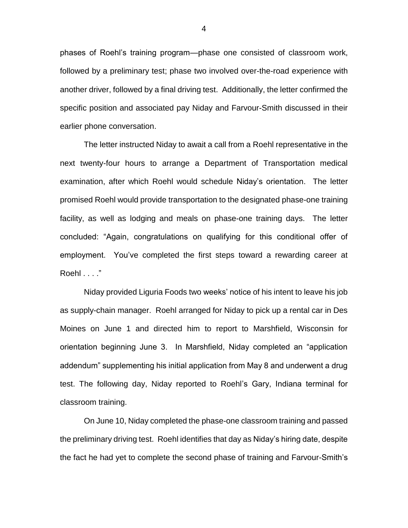phases of Roehl's training program—phase one consisted of classroom work, followed by a preliminary test; phase two involved over-the-road experience with another driver, followed by a final driving test. Additionally, the letter confirmed the specific position and associated pay Niday and Farvour-Smith discussed in their earlier phone conversation.

The letter instructed Niday to await a call from a Roehl representative in the next twenty-four hours to arrange a Department of Transportation medical examination, after which Roehl would schedule Niday's orientation. The letter promised Roehl would provide transportation to the designated phase-one training facility, as well as lodging and meals on phase-one training days. The letter concluded: "Again, congratulations on qualifying for this conditional offer of employment. You've completed the first steps toward a rewarding career at Roehl . . . ."

Niday provided Liguria Foods two weeks' notice of his intent to leave his job as supply-chain manager. Roehl arranged for Niday to pick up a rental car in Des Moines on June 1 and directed him to report to Marshfield, Wisconsin for orientation beginning June 3. In Marshfield, Niday completed an "application addendum" supplementing his initial application from May 8 and underwent a drug test. The following day, Niday reported to Roehl's Gary, Indiana terminal for classroom training.

On June 10, Niday completed the phase-one classroom training and passed the preliminary driving test. Roehl identifies that day as Niday's hiring date, despite the fact he had yet to complete the second phase of training and Farvour-Smith's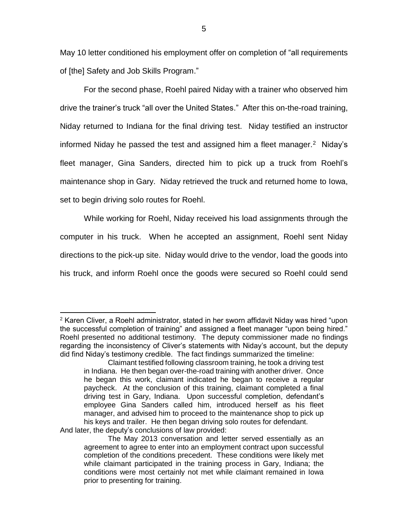May 10 letter conditioned his employment offer on completion of "all requirements of [the] Safety and Job Skills Program."

For the second phase, Roehl paired Niday with a trainer who observed him drive the trainer's truck "all over the United States." After this on-the-road training, Niday returned to Indiana for the final driving test. Niday testified an instructor informed Niday he passed the test and assigned him a fleet manager.<sup>2</sup> Niday's fleet manager, Gina Sanders, directed him to pick up a truck from Roehl's maintenance shop in Gary. Niday retrieved the truck and returned home to Iowa, set to begin driving solo routes for Roehl.

While working for Roehl, Niday received his load assignments through the computer in his truck. When he accepted an assignment, Roehl sent Niday directions to the pick-up site. Niday would drive to the vendor, load the goods into his truck, and inform Roehl once the goods were secured so Roehl could send

 $2$  Karen Cliver, a Roehl administrator, stated in her sworn affidavit Niday was hired "upon the successful completion of training" and assigned a fleet manager "upon being hired." Roehl presented no additional testimony. The deputy commissioner made no findings regarding the inconsistency of Cliver's statements with Niday's account, but the deputy did find Niday's testimony credible. The fact findings summarized the timeline:

Claimant testified following classroom training, he took a driving test in Indiana. He then began over-the-road training with another driver. Once he began this work, claimant indicated he began to receive a regular paycheck. At the conclusion of this training, claimant completed a final driving test in Gary, Indiana. Upon successful completion, defendant's employee Gina Sanders called him, introduced herself as his fleet manager, and advised him to proceed to the maintenance shop to pick up his keys and trailer. He then began driving solo routes for defendant. And later, the deputy's conclusions of law provided:

The May 2013 conversation and letter served essentially as an agreement to agree to enter into an employment contract upon successful completion of the conditions precedent. These conditions were likely met while claimant participated in the training process in Gary, Indiana; the conditions were most certainly not met while claimant remained in Iowa prior to presenting for training.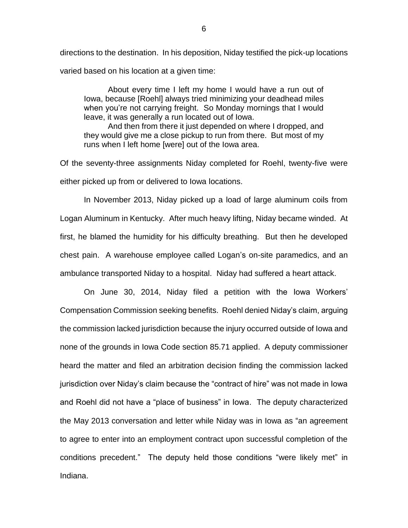directions to the destination. In his deposition, Niday testified the pick-up locations varied based on his location at a given time:

About every time I left my home I would have a run out of Iowa, because [Roehl] always tried minimizing your deadhead miles when you're not carrying freight. So Monday mornings that I would leave, it was generally a run located out of Iowa.

And then from there it just depended on where I dropped, and they would give me a close pickup to run from there. But most of my runs when I left home [were] out of the Iowa area.

Of the seventy-three assignments Niday completed for Roehl, twenty-five were either picked up from or delivered to Iowa locations.

In November 2013, Niday picked up a load of large aluminum coils from Logan Aluminum in Kentucky. After much heavy lifting, Niday became winded. At first, he blamed the humidity for his difficulty breathing. But then he developed chest pain. A warehouse employee called Logan's on-site paramedics, and an ambulance transported Niday to a hospital. Niday had suffered a heart attack.

On June 30, 2014, Niday filed a petition with the Iowa Workers' Compensation Commission seeking benefits. Roehl denied Niday's claim, arguing the commission lacked jurisdiction because the injury occurred outside of Iowa and none of the grounds in Iowa Code section 85.71 applied. A deputy commissioner heard the matter and filed an arbitration decision finding the commission lacked jurisdiction over Niday's claim because the "contract of hire" was not made in Iowa and Roehl did not have a "place of business" in Iowa. The deputy characterized the May 2013 conversation and letter while Niday was in Iowa as "an agreement to agree to enter into an employment contract upon successful completion of the conditions precedent." The deputy held those conditions "were likely met" in Indiana.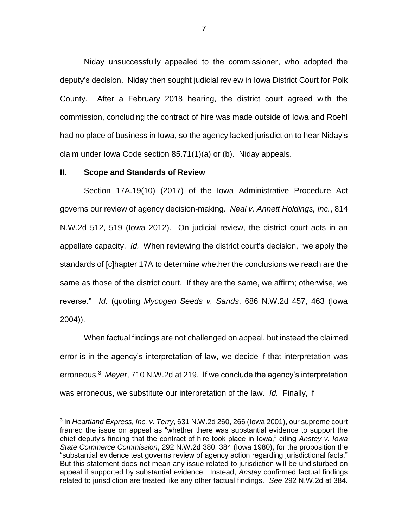Niday unsuccessfully appealed to the commissioner, who adopted the deputy's decision. Niday then sought judicial review in Iowa District Court for Polk County. After a February 2018 hearing, the district court agreed with the commission, concluding the contract of hire was made outside of Iowa and Roehl had no place of business in Iowa, so the agency lacked jurisdiction to hear Niday's claim under Iowa Code section 85.71(1)(a) or (b). Niday appeals.

### **II. Scope and Standards of Review**

 $\overline{a}$ 

Section 17A.19(10) (2017) of the Iowa Administrative Procedure Act governs our review of agency decision-making. *Neal v. Annett Holdings, Inc.*, 814 N.W.2d 512, 519 (Iowa 2012). On judicial review, the district court acts in an appellate capacity. *Id.* When reviewing the district court's decision, "we apply the standards of [c]hapter 17A to determine whether the conclusions we reach are the same as those of the district court. If they are the same, we affirm; otherwise, we reverse." *Id.* (quoting *Mycogen Seeds v. Sands*, 686 N.W.2d 457, 463 (Iowa 2004)).

When factual findings are not challenged on appeal, but instead the claimed error is in the agency's interpretation of law, we decide if that interpretation was erroneous. 3 *Meyer*, 710 N.W.2d at 219. If we conclude the agency's interpretation was erroneous, we substitute our interpretation of the law. *Id.* Finally, if

<sup>3</sup> In *Heartland Express, Inc. v. Terry*, 631 N.W.2d 260, 266 (Iowa 2001), our supreme court framed the issue on appeal as "whether there was substantial evidence to support the chief deputy's finding that the contract of hire took place in Iowa," citing *Anstey v. Iowa State Commerce Commission*, 292 N.W.2d 380, 384 (Iowa 1980), for the proposition the "substantial evidence test governs review of agency action regarding jurisdictional facts." But this statement does not mean any issue related to jurisdiction will be undisturbed on appeal if supported by substantial evidence. Instead, *Anstey* confirmed factual findings related to jurisdiction are treated like any other factual findings. *See* 292 N.W.2d at 384.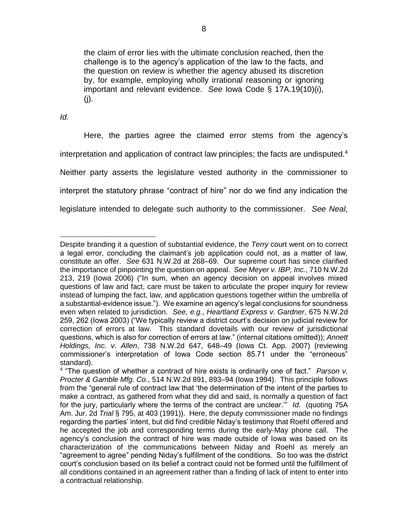the claim of error lies with the ultimate conclusion reached, then the challenge is to the agency's application of the law to the facts, and the question on review is whether the agency abused its discretion by, for example, employing wholly irrational reasoning or ignoring important and relevant evidence. *See* Iowa Code § 17A.19(10)(i), (j).

*Id.*

Here, the parties agree the claimed error stems from the agency's interpretation and application of contract law principles; the facts are undisputed. $4$ Neither party asserts the legislature vested authority in the commissioner to interpret the statutory phrase "contract of hire" nor do we find any indication the legislature intended to delegate such authority to the commissioner. *See Neal*,

 $\overline{a}$ Despite branding it a question of substantial evidence, the *Terry* court went on to correct a legal error, concluding the claimant's job application could not, as a matter of law, constitute an offer. *See* 631 N.W.2d at 268–69. Our supreme court has since clarified the importance of pinpointing the question on appeal. *See Meyer v. IBP, Inc.*, 710 N.W.2d 213, 219 (Iowa 2006) ("In sum, when an agency decision on appeal involves mixed questions of law and fact, care must be taken to articulate the proper inquiry for review instead of lumping the fact, law, and application questions together within the umbrella of a substantial-evidence issue."). We examine an agency's legal conclusions for soundness even when related to jurisdiction. *See, e.g.*, *Heartland Express v. Gardner*, 675 N.W.2d 259, 262 (Iowa 2003) ("We typically review a district court's decision on judicial review for correction of errors at law. This standard dovetails with our review of jurisdictional questions, which is also for correction of errors at law." (internal citations omitted)); *Annett Holdings, Inc. v. Allen*, 738 N.W.2d 647, 648–49 (Iowa Ct. App. 2007) (reviewing commissioner's interpretation of Iowa Code section 85.71 under the "erroneous" standard).

<sup>4</sup> "The question of whether a contract of hire exists is ordinarily one of fact." *Parson v. Procter & Gamble Mfg. Co.*, 514 N.W.2d 891, 893–94 (Iowa 1994). This principle follows from the "general rule of contract law that 'the determination of the intent of the parties to make a contract, as gathered from what they did and said, is normally a question of fact for the jury, particularly where the terms of the contract are unclear.'" *Id.* (quoting 75A Am. Jur. 2d *Trial* § 795, at 403 (1991)). Here, the deputy commissioner made no findings regarding the parties' intent, but did find credible Niday's testimony that Roehl offered and he accepted the job and corresponding terms during the early-May phone call. The agency's conclusion the contract of hire was made outside of Iowa was based on its characterization of the communications between Niday and Roehl as merely an "agreement to agree" pending Niday's fulfillment of the conditions. So too was the district court's conclusion based on its belief a contract could not be formed until the fulfillment of all conditions contained in an agreement rather than a finding of lack of intent to enter into a contractual relationship.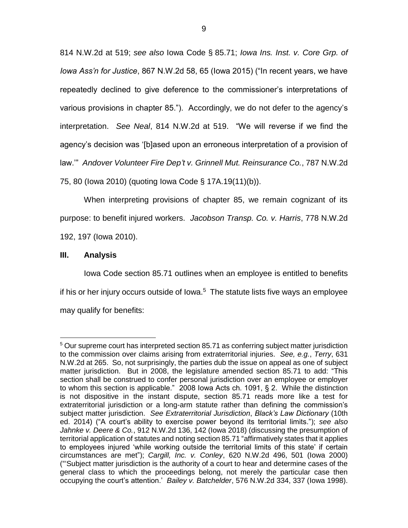814 N.W.2d at 519; *see also* Iowa Code § 85.71; *Iowa Ins. Inst. v. Core Grp. of Iowa Ass'n for Justice*, 867 N.W.2d 58, 65 (Iowa 2015) ("In recent years, we have repeatedly declined to give deference to the commissioner's interpretations of various provisions in chapter 85."). Accordingly, we do not defer to the agency's interpretation. *See Neal*, 814 N.W.2d at 519. "We will reverse if we find the agency's decision was '[b]ased upon an erroneous interpretation of a provision of law.'" *Andover Volunteer Fire Dep't v. Grinnell Mut. Reinsurance Co.*, 787 N.W.2d 75, 80 (Iowa 2010) (quoting Iowa Code § 17A.19(11)(b)).

When interpreting provisions of chapter 85, we remain cognizant of its purpose: to benefit injured workers. *Jacobson Transp. Co. v. Harris*, 778 N.W.2d 192, 197 (Iowa 2010).

# **III. Analysis**

 $\overline{a}$ 

Iowa Code section 85.71 outlines when an employee is entitled to benefits if his or her injury occurs outside of lowa.<sup>5</sup> The statute lists five ways an employee may qualify for benefits:

<sup>&</sup>lt;sup>5</sup> Our supreme court has interpreted section 85.71 as conferring subject matter jurisdiction to the commission over claims arising from extraterritorial injuries. *See, e.g.*, *Terry*, 631 N.W.2d at 265. So, not surprisingly, the parties dub the issue on appeal as one of subject matter jurisdiction. But in 2008, the legislature amended section 85.71 to add: "This section shall be construed to confer personal jurisdiction over an employee or employer to whom this section is applicable." 2008 Iowa Acts ch. 1091, § 2. While the distinction is not dispositive in the instant dispute, section 85.71 reads more like a test for extraterritorial jurisdiction or a long-arm statute rather than defining the commission's subject matter jurisdiction. *See Extraterritorial Jurisdiction*, *Black's Law Dictionary* (10th ed. 2014) ("A court's ability to exercise power beyond its territorial limits."); *see also Jahnke v. Deere & Co.*, 912 N.W.2d 136, 142 (Iowa 2018) (discussing the presumption of territorial application of statutes and noting section 85.71 "affirmatively states that it applies to employees injured 'while working outside the territorial limits of this state' if certain circumstances are met"); *Cargill, Inc. v. Conley*, 620 N.W.2d 496, 501 (Iowa 2000) ("'Subject matter jurisdiction is the authority of a court to hear and determine cases of the general class to which the proceedings belong, not merely the particular case then occupying the court's attention.' *Bailey v. Batchelder*, 576 N.W.2d 334, 337 (Iowa 1998).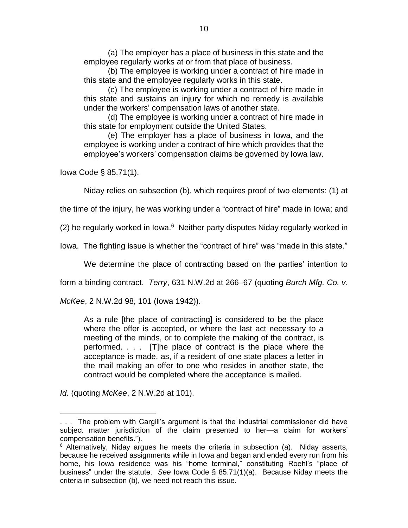(a) The employer has a place of business in this state and the employee regularly works at or from that place of business.

(b) The employee is working under a contract of hire made in this state and the employee regularly works in this state.

(c) The employee is working under a contract of hire made in this state and sustains an injury for which no remedy is available under the workers' compensation laws of another state.

(d) The employee is working under a contract of hire made in this state for employment outside the United States.

(e) The employer has a place of business in Iowa, and the employee is working under a contract of hire which provides that the employee's workers' compensation claims be governed by Iowa law.

Iowa Code § 85.71(1).

Niday relies on subsection (b), which requires proof of two elements: (1) at

the time of the injury, he was working under a "contract of hire" made in Iowa; and

(2) he regularly worked in Iowa.<sup>6</sup> Neither party disputes Niday regularly worked in

Iowa. The fighting issue is whether the "contract of hire" was "made in this state."

We determine the place of contracting based on the parties' intention to

form a binding contract. *Terry*, 631 N.W.2d at 266–67 (quoting *Burch Mfg. Co. v.* 

*McKee*, 2 N.W.2d 98, 101 (Iowa 1942)).

As a rule [the place of contracting] is considered to be the place where the offer is accepted, or where the last act necessary to a meeting of the minds, or to complete the making of the contract, is performed. . . . [T]he place of contract is the place where the acceptance is made, as, if a resident of one state places a letter in the mail making an offer to one who resides in another state, the contract would be completed where the acceptance is mailed.

*Id.* (quoting *McKee*, 2 N.W.2d at 101).

 $\overline{a}$ . . . The problem with Cargill's argument is that the industrial commissioner did have subject matter jurisdiction of the claim presented to her—a claim for workers' compensation benefits.").

 $6$  Alternatively, Niday argues he meets the criteria in subsection (a). Niday asserts, because he received assignments while in Iowa and began and ended every run from his home, his Iowa residence was his "home terminal," constituting Roehl's "place of business" under the statute. *See* Iowa Code § 85.71(1)(a). Because Niday meets the criteria in subsection (b), we need not reach this issue.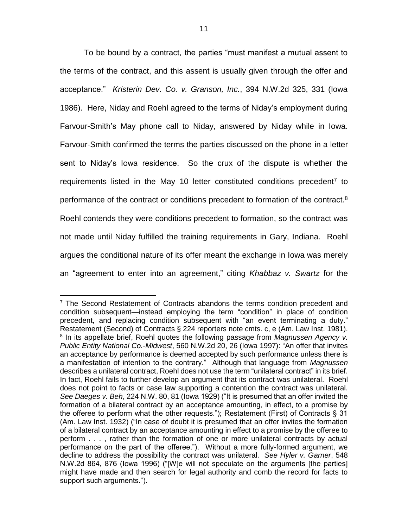To be bound by a contract, the parties "must manifest a mutual assent to the terms of the contract, and this assent is usually given through the offer and acceptance." *Kristerin Dev. Co. v. Granson, Inc.*, 394 N.W.2d 325, 331 (Iowa 1986). Here, Niday and Roehl agreed to the terms of Niday's employment during Farvour-Smith's May phone call to Niday, answered by Niday while in Iowa. Farvour-Smith confirmed the terms the parties discussed on the phone in a letter sent to Niday's Iowa residence. So the crux of the dispute is whether the requirements listed in the May 10 letter constituted conditions precedent<sup>7</sup> to performance of the contract or conditions precedent to formation of the contract.<sup>8</sup> Roehl contends they were conditions precedent to formation, so the contract was not made until Niday fulfilled the training requirements in Gary, Indiana. Roehl argues the conditional nature of its offer meant the exchange in Iowa was merely an "agreement to enter into an agreement," citing *Khabbaz v. Swartz* for the

 $\overline{a}$  $7$  The Second Restatement of Contracts abandons the terms condition precedent and condition subsequent—instead employing the term "condition" in place of condition precedent, and replacing condition subsequent with "an event terminating a duty." Restatement (Second) of Contracts § 224 reporters note cmts. c, e (Am. Law Inst. 1981). 8 In its appellate brief, Roehl quotes the following passage from *Magnussen Agency v. Public Entity National Co.-Midwest*, 560 N.W.2d 20, 26 (Iowa 1997): "An offer that invites an acceptance by performance is deemed accepted by such performance unless there is a manifestation of intention to the contrary." Although that language from *Magnussen* describes a unilateral contract, Roehl does not use the term "unilateral contract" in its brief. In fact, Roehl fails to further develop an argument that its contract was unilateral. Roehl does not point to facts or case law supporting a contention the contract was unilateral. *See Daeges v. Beh*, 224 N.W. 80, 81 (Iowa 1929) ("It is presumed that an offer invited the formation of a bilateral contract by an acceptance amounting, in effect, to a promise by the offeree to perform what the other requests."); Restatement (First) of Contracts § 31 (Am. Law Inst. 1932) ("In case of doubt it is presumed that an offer invites the formation of a bilateral contract by an acceptance amounting in effect to a promise by the offeree to perform . . . , rather than the formation of one or more unilateral contracts by actual performance on the part of the offeree."). Without a more fully-formed argument, we decline to address the possibility the contract was unilateral. *See Hyler v. Garner*, 548 N.W.2d 864, 876 (Iowa 1996) ("[W]e will not speculate on the arguments [the parties] might have made and then search for legal authority and comb the record for facts to support such arguments.").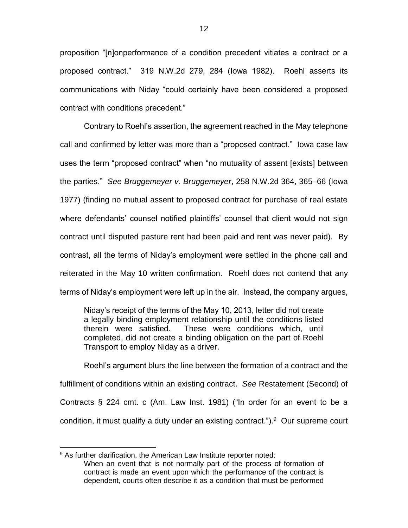proposition "[n]onperformance of a condition precedent vitiates a contract or a proposed contract." 319 N.W.2d 279, 284 (Iowa 1982). Roehl asserts its communications with Niday "could certainly have been considered a proposed contract with conditions precedent."

Contrary to Roehl's assertion, the agreement reached in the May telephone call and confirmed by letter was more than a "proposed contract." Iowa case law uses the term "proposed contract" when "no mutuality of assent [exists] between the parties." *See Bruggemeyer v. Bruggemeyer*, 258 N.W.2d 364, 365–66 (Iowa 1977) (finding no mutual assent to proposed contract for purchase of real estate where defendants' counsel notified plaintiffs' counsel that client would not sign contract until disputed pasture rent had been paid and rent was never paid). By contrast, all the terms of Niday's employment were settled in the phone call and reiterated in the May 10 written confirmation. Roehl does not contend that any terms of Niday's employment were left up in the air. Instead, the company argues,

Niday's receipt of the terms of the May 10, 2013, letter did not create a legally binding employment relationship until the conditions listed therein were satisfied. These were conditions which, until completed, did not create a binding obligation on the part of Roehl Transport to employ Niday as a driver.

Roehl's argument blurs the line between the formation of a contract and the fulfillment of conditions within an existing contract. *See* Restatement (Second) of Contracts § 224 cmt. c (Am. Law Inst. 1981) ("In order for an event to be a condition, it must qualify a duty under an existing contract.").<sup>9</sup> Our supreme court

<sup>&</sup>lt;sup>9</sup> As further clarification, the American Law Institute reporter noted: When an event that is not normally part of the process of formation of contract is made an event upon which the performance of the contract is dependent, courts often describe it as a condition that must be performed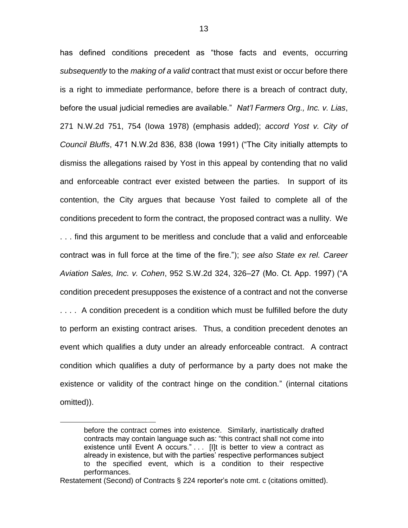has defined conditions precedent as "those facts and events, occurring *subsequently* to the *making of a valid* contract that must exist or occur before there is a right to immediate performance, before there is a breach of contract duty, before the usual judicial remedies are available." *Nat'l Farmers Org., Inc. v. Lias*, 271 N.W.2d 751, 754 (Iowa 1978) (emphasis added); *accord Yost v. City of Council Bluffs*, 471 N.W.2d 836, 838 (Iowa 1991) ("The City initially attempts to dismiss the allegations raised by Yost in this appeal by contending that no valid and enforceable contract ever existed between the parties. In support of its contention, the City argues that because Yost failed to complete all of the conditions precedent to form the contract, the proposed contract was a nullity. We . . . find this argument to be meritless and conclude that a valid and enforceable contract was in full force at the time of the fire."); *see also State ex rel. Career Aviation Sales, Inc. v. Cohen*, 952 S.W.2d 324, 326–27 (Mo. Ct. App. 1997) ("A condition precedent presupposes the existence of a contract and not the converse .... A condition precedent is a condition which must be fulfilled before the duty to perform an existing contract arises. Thus, a condition precedent denotes an event which qualifies a duty under an already enforceable contract. A contract condition which qualifies a duty of performance by a party does not make the existence or validity of the contract hinge on the condition." (internal citations omitted)).

before the contract comes into existence. Similarly, inartistically drafted contracts may contain language such as: "this contract shall not come into existence until Event A occurs." . . . [I]t is better to view a contract as already in existence, but with the parties' respective performances subject to the specified event, which is a condition to their respective performances.

Restatement (Second) of Contracts § 224 reporter's note cmt. c (citations omitted).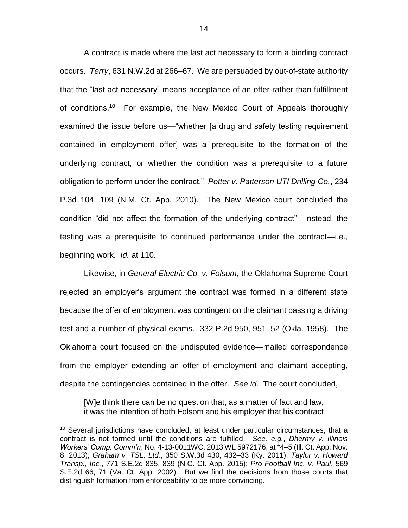A contract is made where the last act necessary to form a binding contract occurs. *Terry*, 631 N.W.2d at 266–67. We are persuaded by out-of-state authority that the "last act necessary" means acceptance of an offer rather than fulfillment of conditions.<sup>10</sup> For example, the New Mexico Court of Appeals thoroughly examined the issue before us—"whether [a drug and safety testing requirement contained in employment offer] was a prerequisite to the formation of the underlying contract, or whether the condition was a prerequisite to a future obligation to perform under the contract." *Potter v. Patterson UTI Drilling Co.*, 234 P.3d 104, 109 (N.M. Ct. App. 2010). The New Mexico court concluded the condition "did not affect the formation of the underlying contract"—instead, the testing was a prerequisite to continued performance under the contract—i.e., beginning work. *Id.* at 110.

Likewise, in *General Electric Co. v. Folsom*, the Oklahoma Supreme Court rejected an employer's argument the contract was formed in a different state because the offer of employment was contingent on the claimant passing a driving test and a number of physical exams. 332 P.2d 950, 951–52 (Okla. 1958). The Oklahoma court focused on the undisputed evidence—mailed correspondence from the employer extending an offer of employment and claimant accepting, despite the contingencies contained in the offer. *See id.* The court concluded,

[W]e think there can be no question that, as a matter of fact and law, it was the intention of both Folsom and his employer that his contract

 $10$  Several jurisdictions have concluded, at least under particular circumstances, that a contract is not formed until the conditions are fulfilled. *See, e.g.*, *Dhermy v. Illinois Workers' Comp. Comm'n*, No. 4-13-0011WC, 2013 WL 5972176, at \*4–5 (Ill. Ct. App. Nov. 8, 2013); *Graham v. TSL, Ltd.*, 350 S.W.3d 430, 432–33 (Ky. 2011); *Taylor v. Howard Transp., Inc.*, 771 S.E.2d 835, 839 (N.C. Ct. App. 2015); *Pro Football Inc. v. Paul*, 569 S.E.2d 66, 71 (Va. Ct. App. 2002). But we find the decisions from those courts that distinguish formation from enforceability to be more convincing.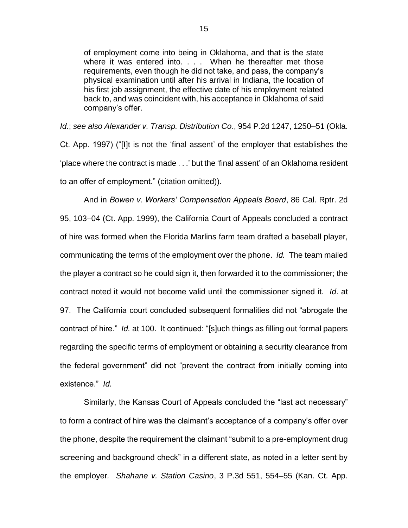of employment come into being in Oklahoma, and that is the state where it was entered into. . . . When he thereafter met those requirements, even though he did not take, and pass, the company's physical examination until after his arrival in Indiana, the location of his first job assignment, the effective date of his employment related back to, and was coincident with, his acceptance in Oklahoma of said company's offer.

*Id.*; *see also Alexander v. Transp. Distribution Co.*, 954 P.2d 1247, 1250–51 (Okla. Ct. App. 1997) ("[I]t is not the 'final assent' of the employer that establishes the 'place where the contract is made . . .' but the 'final assent' of an Oklahoma resident to an offer of employment." (citation omitted)).

And in *Bowen v. Workers' Compensation Appeals Board*, 86 Cal. Rptr. 2d 95, 103–04 (Ct. App. 1999), the California Court of Appeals concluded a contract of hire was formed when the Florida Marlins farm team drafted a baseball player, communicating the terms of the employment over the phone. *Id.* The team mailed the player a contract so he could sign it, then forwarded it to the commissioner; the contract noted it would not become valid until the commissioner signed it. *Id*. at 97. The California court concluded subsequent formalities did not "abrogate the contract of hire." *Id.* at 100. It continued: "[s]uch things as filling out formal papers regarding the specific terms of employment or obtaining a security clearance from the federal government" did not "prevent the contract from initially coming into existence." *Id.* 

Similarly, the Kansas Court of Appeals concluded the "last act necessary" to form a contract of hire was the claimant's acceptance of a company's offer over the phone, despite the requirement the claimant "submit to a pre-employment drug screening and background check" in a different state, as noted in a letter sent by the employer*. Shahane v. Station Casino*, 3 P.3d 551, 554–55 (Kan. Ct. App.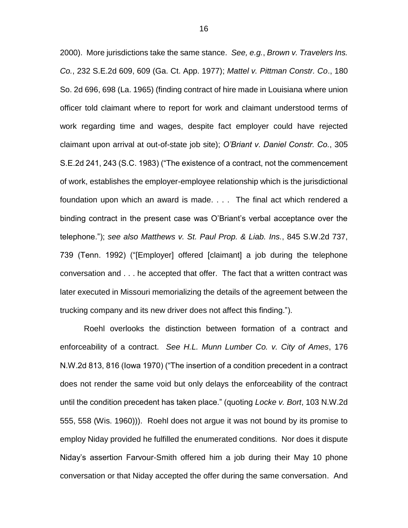2000). More jurisdictions take the same stance. *See, e.g.*, *Brown v. Travelers Ins. Co.*, 232 S.E.2d 609, 609 (Ga. Ct. App. 1977); *Mattel v. Pittman Constr. Co*., 180 So. 2d 696, 698 (La. 1965) (finding contract of hire made in Louisiana where union officer told claimant where to report for work and claimant understood terms of work regarding time and wages, despite fact employer could have rejected claimant upon arrival at out-of-state job site); *O'Briant v. Daniel Constr. Co.*, 305 S.E.2d 241, 243 (S.C. 1983) ("The existence of a contract, not the commencement of work, establishes the employer-employee relationship which is the jurisdictional foundation upon which an award is made. . . . The final act which rendered a binding contract in the present case was O'Briant's verbal acceptance over the telephone."); *see also Matthews v. St. Paul Prop. & Liab. Ins.*, 845 S.W.2d 737, 739 (Tenn. 1992) ("[Employer] offered [claimant] a job during the telephone conversation and . . . he accepted that offer. The fact that a written contract was later executed in Missouri memorializing the details of the agreement between the trucking company and its new driver does not affect this finding.").

Roehl overlooks the distinction between formation of a contract and enforceability of a contract. *See H.L. Munn Lumber Co. v. City of Ames*, 176 N.W.2d 813, 816 (Iowa 1970) ("The insertion of a condition precedent in a contract does not render the same void but only delays the enforceability of the contract until the condition precedent has taken place." (quoting *Locke v. Bort*, 103 N.W.2d 555, 558 (Wis. 1960))). Roehl does not argue it was not bound by its promise to employ Niday provided he fulfilled the enumerated conditions. Nor does it dispute Niday's assertion Farvour-Smith offered him a job during their May 10 phone conversation or that Niday accepted the offer during the same conversation. And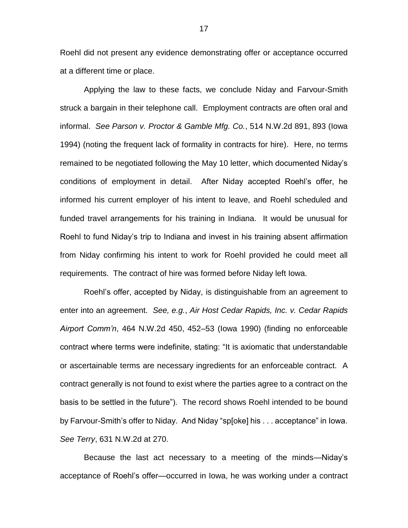Roehl did not present any evidence demonstrating offer or acceptance occurred at a different time or place.

Applying the law to these facts, we conclude Niday and Farvour-Smith struck a bargain in their telephone call. Employment contracts are often oral and informal. *See Parson v. Proctor & Gamble Mfg. Co.*, 514 N.W.2d 891, 893 (Iowa 1994) (noting the frequent lack of formality in contracts for hire). Here, no terms remained to be negotiated following the May 10 letter, which documented Niday's conditions of employment in detail. After Niday accepted Roehl's offer, he informed his current employer of his intent to leave, and Roehl scheduled and funded travel arrangements for his training in Indiana. It would be unusual for Roehl to fund Niday's trip to Indiana and invest in his training absent affirmation from Niday confirming his intent to work for Roehl provided he could meet all requirements. The contract of hire was formed before Niday left Iowa.

Roehl's offer, accepted by Niday, is distinguishable from an agreement to enter into an agreement. *See, e.g.*, *Air Host Cedar Rapids, Inc. v. Cedar Rapids Airport Comm'n*, 464 N.W.2d 450, 452–53 (Iowa 1990) (finding no enforceable contract where terms were indefinite, stating: "It is axiomatic that understandable or ascertainable terms are necessary ingredients for an enforceable contract. A contract generally is not found to exist where the parties agree to a contract on the basis to be settled in the future"). The record shows Roehl intended to be bound by Farvour-Smith's offer to Niday. And Niday "sp[oke] his . . . acceptance" in Iowa. *See Terry*, 631 N.W.2d at 270.

Because the last act necessary to a meeting of the minds—Niday's acceptance of Roehl's offer—occurred in Iowa, he was working under a contract